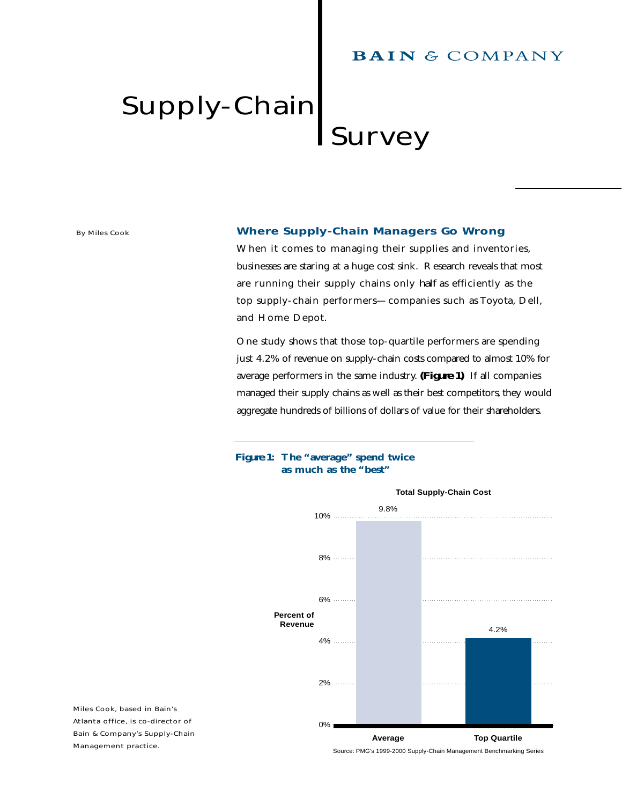# **BAIN & COMPANY**

# Supply-Chain Survey

*By Miles Cook*

# **Where Supply-Chain Managers Go Wrong**

When it comes to managing their supplies and inventories, businesses are staring at a huge cost sink. Research reveals that most are running their supply chains only *half* as efficiently as the top supply-chain performers—companies such as Toyota, Dell, and Home Depot.

One study shows that those top-quartile performers are spending just 4.2% of revenue on supply-chain costs compared to almost 10% for average performers in the same industry. *(Figure 1)* If all companies managed their supply chains as well as their best competitors, they would aggregate hundreds of billions of dollars of value for their shareholders.

# *Figure 1***: The "average" spend twice as much as the "best"**



*Miles Cook, based in Bain's Atlanta office, is co-director of Bain & Company's Supply-Chain Management practice.*

Source: PMG's 1999-2000 Supply-Chain Management Benchmarking Series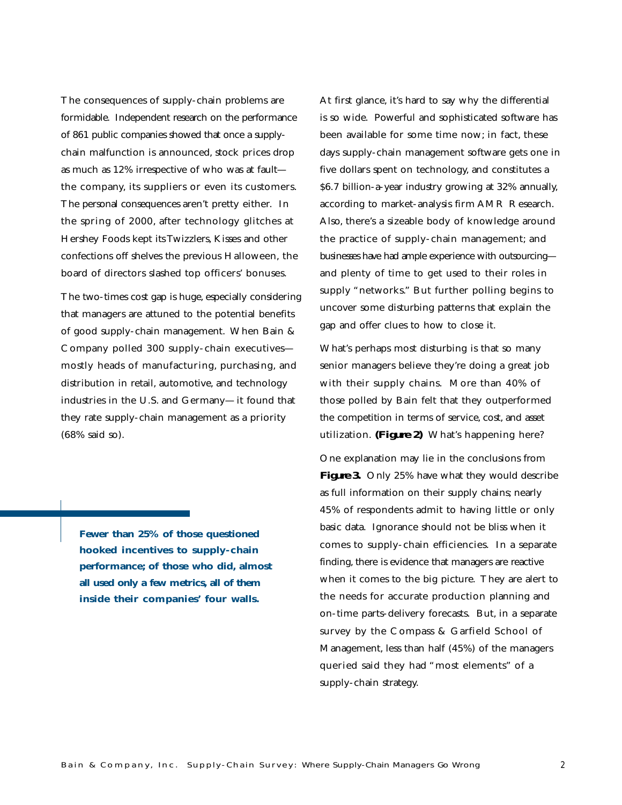The consequences of supply-chain problems are formidable. Independent research on the performance of 861 public companies showed that once a supplychain malfunction is announced, stock prices drop as much as 12% irrespective of who was at fault the company, its suppliers or even its customers. The personal consequences aren't pretty either. In the spring of 2000, after technology glitches at Hershey Foods kept its Twizzlers, Kisses and other confections off shelves the previous Halloween, the board of directors slashed top officers' bonuses.

The two-times cost gap is huge, especially considering that managers are attuned to the potential benefits of good supply-chain management. When Bain & Company polled 300 supply-chain executives mostly heads of manufacturing, purchasing, and distribution in retail, automotive, and technology industries in the U.S. and Germany—it found that they rate supply-chain management as a priority (68% said so).

**Fewer than 25% of those questioned hooked incentives to supply-chain performance; of those who did, almost all used only a few metrics, all of them inside their companies' four walls.**

At first glance, it's hard to say why the differential is so wide. Powerful and sophisticated software has been available for some time now; in fact, these days supply-chain management software gets one in five dollars spent on technology, and constitutes a \$6.7 billion-a-year industry growing at 32% annually, according to market-analysis firm AMR Research. Also, there's a sizeable body of knowledge around the practice of supply-chain management; and businesses have had ample experience with outsourcing and plenty of time to get used to their roles in supply "networks." But further polling begins to uncover some disturbing patterns that explain the gap and offer clues to how to close it.

What's perhaps most disturbing is that so many senior managers believe they're doing a great job with their supply chains. More than 40% of those polled by Bain felt that they outperformed the competition in terms of service, cost, and asset utilization. *(Figure 2)* What's happening here?

One explanation may lie in the conclusions from **Figure 3.** Only 25% have what they would describe as full information on their supply chains; nearly 45% of respondents admit to having little or only basic data. Ignorance should not be bliss when it comes to supply-chain efficiencies. In a separate finding, there is evidence that managers are reactive when it comes to the big picture. They are alert to the needs for accurate production planning and on-time parts-delivery forecasts. But, in a separate survey by the Compass & Garfield School of Management, less than half (45%) of the managers queried said they had "most elements" of a supply-chain strategy.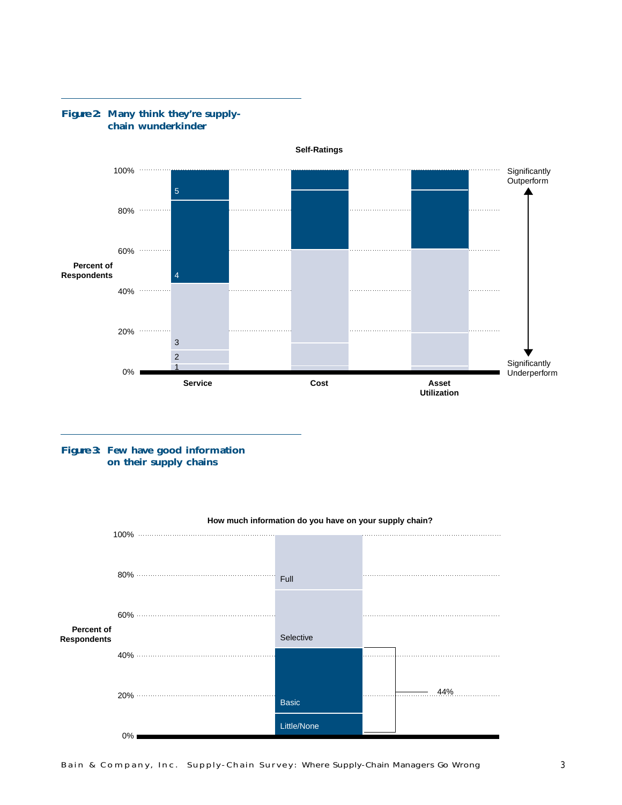

### *Figure 2***: Many think they're supplychain wunderkinder**

*Figure 3***: Few have good information on their supply chains**

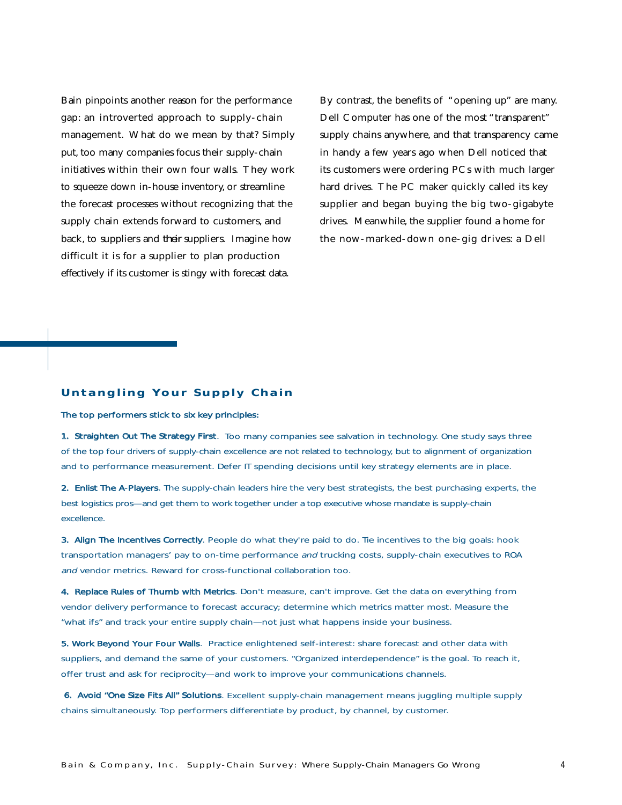Bain pinpoints another reason for the performance gap: an introverted approach to supply-chain management. What do we mean by that? Simply put, too many companies focus their supply-chain initiatives within their own four walls. They work to squeeze down in-house inventory, or streamline the forecast processes without recognizing that the supply chain extends forward to customers, and back, to suppliers and *their* suppliers. Imagine how difficult it is for a supplier to plan production effectively if its customer is stingy with forecast data.

By contrast, the benefits of "opening up" are many. Dell Computer has one of the most "transparent" supply chains anywhere, and that transparency came in handy a few years ago when Dell noticed that its customers were ordering PCs with much larger hard drives. The PC maker quickly called its key supplier and began buying the big two-gigabyte drives. Meanwhile, the supplier found a home for the now-marked-down one-gig drives: a Dell

## **Untangling Your Supply Chain**

#### The top performers stick to six key principles:

1. Straighten Out The Strategy First. Too many companies see salvation in technology. One study says three of the top four drivers of supply-chain excellence are not related to technology, but to alignment of organization and to performance measurement. Defer IT spending decisions until key strategy elements are in place.

2. Enlist The A-Players. The supply-chain leaders hire the very best strategists, the best purchasing experts, the best logistics pros—and get them to work together under a top executive whose mandate is supply-chain excellence.

3. Align The Incentives Correctly. People do what they're paid to do. Tie incentives to the big goals: hook transportation managers' pay to on-time performance and trucking costs, supply-chain executives to ROA and vendor metrics. Reward for cross-functional collaboration too.

4. Replace Rules of Thumb with Metrics. Don't measure, can't improve. Get the data on everything from vendor delivery performance to forecast accuracy; determine which metrics matter most. Measure the "what ifs" and track your entire supply chain—not just what happens inside your business.

5. Work Beyond Your Four Walls. Practice enlightened self-interest: share forecast and other data with suppliers, and demand the same of your customers. "Organized interdependence" is the goal. To reach it, offer trust and ask for reciprocity—and work to improve your communications channels.

6. Avoid "One Size Fits All" Solutions. Excellent supply-chain management means juggling multiple supply chains simultaneously. Top performers differentiate by product, by channel, by customer.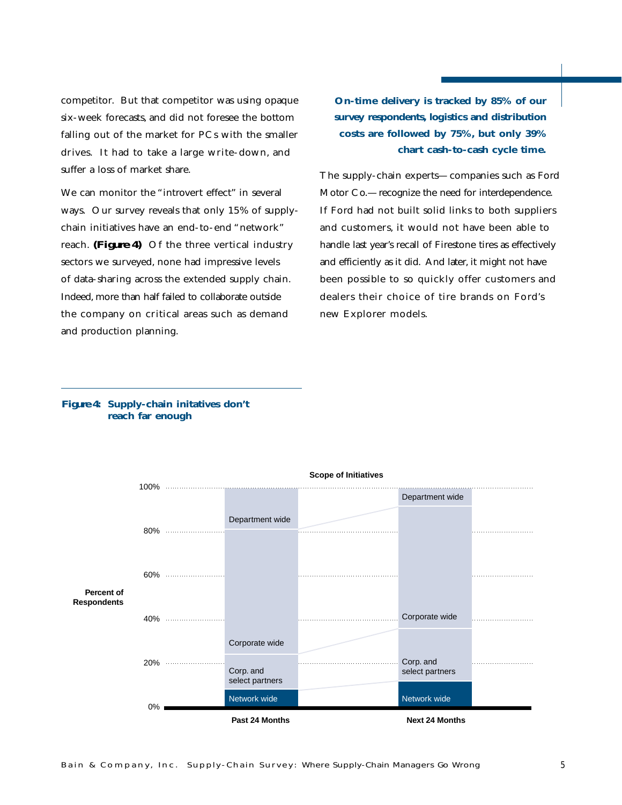competitor. But that competitor was using opaque six-week forecasts, and did not foresee the bottom falling out of the market for PCs with the smaller drives. It had to take a large write-down, and suffer a loss of market share.

We can monitor the "introvert effect" in several ways. Our survey reveals that only 15% of supplychain initiatives have an end-to-end "network" reach. *(Figure 4)* Of the three vertical industry sectors we surveyed, none had impressive levels of data-sharing across the extended supply chain. Indeed, more than half failed to collaborate outside the company on critical areas such as demand and production planning.

**On-time delivery is tracked by 85% of our survey respondents, logistics and distribution costs are followed by 75%, but only 39% chart cash-to-cash cycle time.**

The supply-chain experts—companies such as Ford Motor Co.—recognize the need for interdependence. If Ford had not built solid links to both suppliers and customers, it would not have been able to handle last year's recall of Firestone tires as effectively and efficiently as it did. And later, it might not have been possible to so quickly offer customers and dealers their choice of tire brands on Ford's new Explorer models.

# *Figure 4***: Supply-chain initatives don't reach far enough**

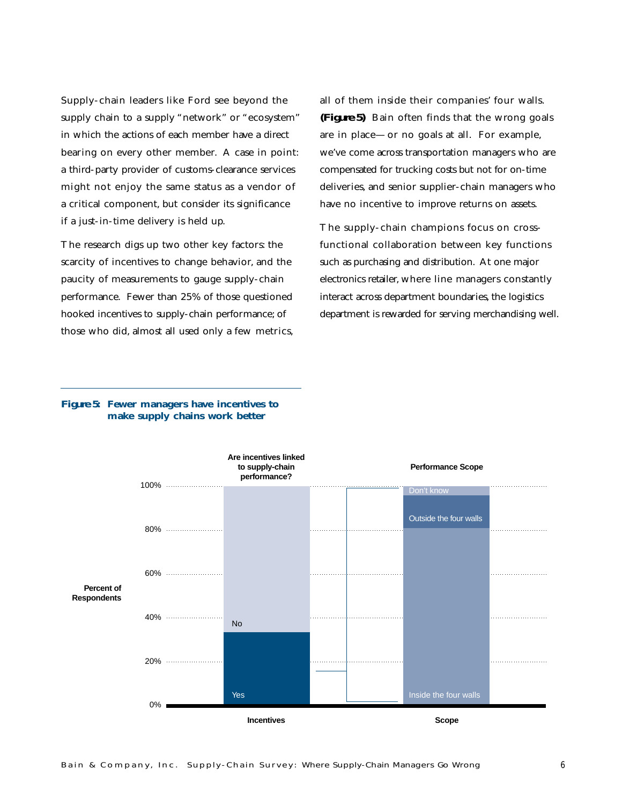Supply-chain leaders like Ford see beyond the supply chain to a supply "network" or "ecosystem" in which the actions of each member have a direct bearing on every other member. A case in point: a third-party provider of customs-clearance services might not enjoy the same status as a vendor of a critical component, but consider its significance if a just-in-time delivery is held up.

The research digs up two other key factors: the scarcity of incentives to change behavior, and the paucity of measurements to gauge supply-chain performance. Fewer than 25% of those questioned hooked incentives to supply-chain performance; of those who did, almost all used only a few metrics, all of them inside their companies' four walls. *(Figure 5)* Bain often finds that the wrong goals are in place—or no goals at all. For example, we've come across transportation managers who are compensated for trucking costs but not for on-time deliveries, and senior supplier-chain managers who have no incentive to improve returns on assets.

The supply-chain champions focus on crossfunctional collaboration between key functions such as purchasing and distribution. At one major electronics retailer,where line managers constantly interact across department boundaries, the logistics department is rewarded for serving merchandising well.

# *Figure 5***: Fewer managers have incentives to make supply chains work better**

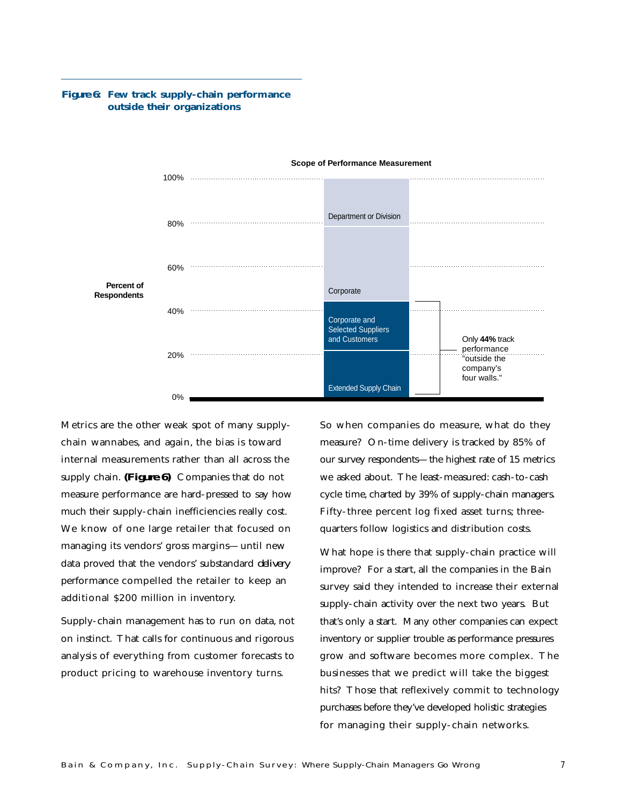

# *Figure 6***: Few track supply-chain performance outside their organizations**

Metrics are the other weak spot of many supplychain wannabes, and again, the bias is toward internal measurements rather than all across the supply chain. *(Figure 6)* Companies that do not measure performance are hard-pressed to say how much their supply-chain inefficiencies really cost. We know of one large retailer that focused on managing its vendors' gross margins—until new data proved that the vendors' substandard *delivery* performance compelled the retailer to keep an additional \$200 million in inventory.

Supply-chain management has to run on data, not on instinct. That calls for continuous and rigorous analysis of everything from customer forecasts to product pricing to warehouse inventory turns.

So when companies do measure, what do they measure? On-time delivery is tracked by 85% of our survey respondents—the highest rate of 15 metrics we asked about. The least-measured: cash-to-cash cycle time, charted by 39% of supply-chain managers. Fifty-three percent log fixed asset turns; threequarters follow logistics and distribution costs.

What hope is there that supply-chain practice will improve? For a start, all the companies in the Bain survey said they intended to increase their external supply-chain activity over the next two years. But that's only a start. Many other companies can expect inventory or supplier trouble as performance pressures grow and software becomes more complex. The businesses that we predict will take the biggest hits? Those that reflexively commit to technology purchases before they've developed holistic strategies for managing their supply-chain networks.